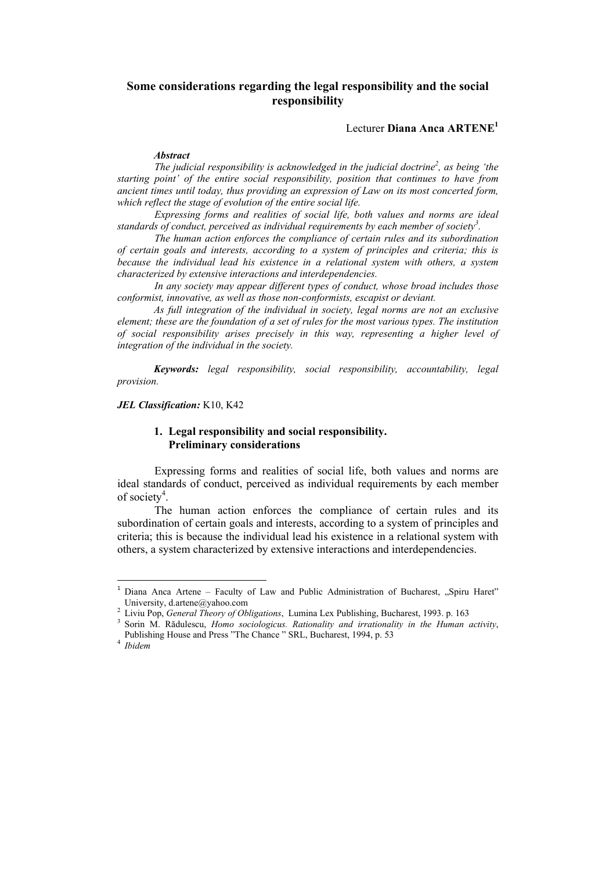# **Some considerations regarding the legal responsibility and the social responsibility**

Lecturer **Diana Anca ARTENE<sup>1</sup>**

#### *Abstract*

The judicial responsibility is acknowledged in the judicial doctrine<sup>2</sup>, as being 'the *starting point' of the entire social responsibility, position that continues to have from ancient times until today, thus providing an expression of Law on its most concerted form, which reflect the stage of evolution of the entire social life.*

*Expressing forms and realities of social life, both values and norms are ideal standards of conduct, perceived as individual requirements by each member of society3 .* 

*The human action enforces the compliance of certain rules and its subordination of certain goals and interests, according to a system of principles and criteria; this is because the individual lead his existence in a relational system with others, a system characterized by extensive interactions and interdependencies.* 

*In any society may appear different types of conduct, whose broad includes those conformist, innovative, as well as those non-conformists, escapist or deviant.* 

*As full integration of the individual in society, legal norms are not an exclusive element; these are the foundation of a set of rules for the most various types. The institution of social responsibility arises precisely in this way, representing a higher level of integration of the individual in the society.* 

*Keywords: legal responsibility, social responsibility, accountability, legal provision.* 

*JEL Classification:* K10, K42

## **1. Legal responsibility and social responsibility. Preliminary considerations**

Expressing forms and realities of social life, both values and norms are ideal standards of conduct, perceived as individual requirements by each member of society<sup>4</sup>.

The human action enforces the compliance of certain rules and its subordination of certain goals and interests, according to a system of principles and criteria; this is because the individual lead his existence in a relational system with others, a system characterized by extensive interactions and interdependencies.

<sup>&</sup>lt;sup>1</sup> Diana Anca Artene - Faculty of Law and Public Administration of Bucharest, "Spiru Haret" University, d.artene@yahoo.com

Liviu Pop, *General Theory of Obligations*, Lumina Lex Publishing, Bucharest, 1993. p. 163 3

<sup>&</sup>lt;sup>3</sup> Sorin M. Rădulescu, *Homo sociologicus. Rationality and irrationality in the Human activity*, Publishing House and Press "The Chance " SRL, Bucharest, 1994, p. 53 4

<sup>&</sup>lt;sup>4</sup> *Ibidem*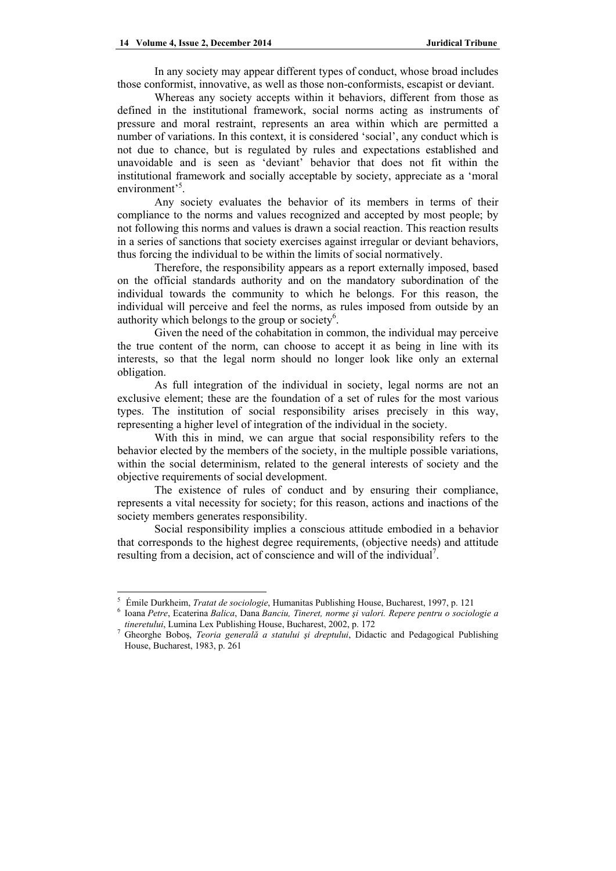In any society may appear different types of conduct, whose broad includes those conformist, innovative, as well as those non-conformists, escapist or deviant.

Whereas any society accepts within it behaviors, different from those as defined in the institutional framework, social norms acting as instruments of pressure and moral restraint, represents an area within which are permitted a number of variations. In this context, it is considered 'social', any conduct which is not due to chance, but is regulated by rules and expectations established and unavoidable and is seen as 'deviant' behavior that does not fit within the institutional framework and socially acceptable by society, appreciate as a 'moral environment<sup>5</sup>.

Any society evaluates the behavior of its members in terms of their compliance to the norms and values recognized and accepted by most people; by not following this norms and values is drawn a social reaction. This reaction results in a series of sanctions that society exercises against irregular or deviant behaviors, thus forcing the individual to be within the limits of social normatively.

Therefore, the responsibility appears as a report externally imposed, based on the official standards authority and on the mandatory subordination of the individual towards the community to which he belongs. For this reason, the individual will perceive and feel the norms, as rules imposed from outside by an authority which belongs to the group or society<sup>6</sup>.

Given the need of the cohabitation in common, the individual may perceive the true content of the norm, can choose to accept it as being in line with its interests, so that the legal norm should no longer look like only an external obligation.

As full integration of the individual in society, legal norms are not an exclusive element; these are the foundation of a set of rules for the most various types. The institution of social responsibility arises precisely in this way, representing a higher level of integration of the individual in the society.

With this in mind, we can argue that social responsibility refers to the behavior elected by the members of the society, in the multiple possible variations, within the social determinism, related to the general interests of society and the objective requirements of social development.

The existence of rules of conduct and by ensuring their compliance, represents a vital necessity for society; for this reason, actions and inactions of the society members generates responsibility.

Social responsibility implies a conscious attitude embodied in a behavior that corresponds to the highest degree requirements, (objective needs) and attitude resulting from a decision, act of conscience and will of the individual<sup>7</sup>.

<sup>&</sup>lt;sup>5</sup> Émile Durkheim, *Tratat de sociologie*, Humanitas Publishing House, Bucharest, 1997, p. 121<br><sup>6</sup> Joanne Petre, Ecctoring Pelice, Dans Pensiu, Tineuat, norma si veloui, Pensue pentru o sociol

Ioana *Petre*, Ecaterina *Balica*, Dana *Banciu, Tineret, norme şi valori. Repere pentru o sociologie a*  tineretului, Lumina Lex Publishing House, Bucharest, 2002, p. 172

Gheorghe Boboş, *Teoria generală a statului şi dreptului*, Didactic and Pedagogical Publishing House, Bucharest, 1983, p. 261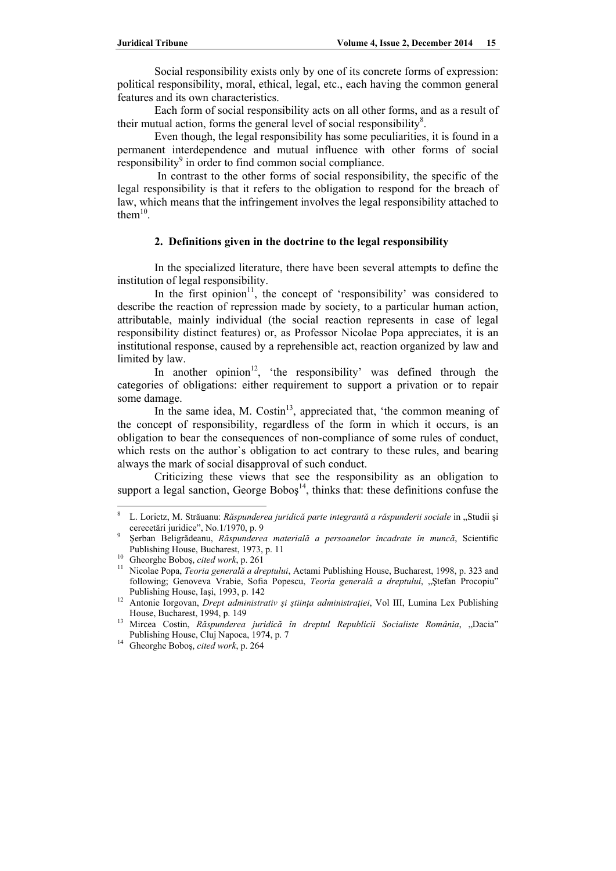Social responsibility exists only by one of its concrete forms of expression: political responsibility, moral, ethical, legal, etc., each having the common general features and its own characteristics.

Each form of social responsibility acts on all other forms, and as a result of their mutual action, forms the general level of social responsibility $8$ .

Even though, the legal responsibility has some peculiarities, it is found in a permanent interdependence and mutual influence with other forms of social  $r_{\text{responsibility}}$ <sup>9</sup> in order to find common social compliance.

 In contrast to the other forms of social responsibility, the specific of the legal responsibility is that it refers to the obligation to respond for the breach of law, which means that the infringement involves the legal responsibility attached to them $10$ .

### **2. Definitions given in the doctrine to the legal responsibility**

In the specialized literature, there have been several attempts to define the institution of legal responsibility.

In the first opinion $11$ , the concept of 'responsibility' was considered to describe the reaction of repression made by society, to a particular human action, attributable, mainly individual (the social reaction represents in case of legal responsibility distinct features) or, as Professor Nicolae Popa appreciates, it is an institutional response, caused by a reprehensible act, reaction organized by law and limited by law.

In another opinion<sup>12</sup>, 'the responsibility' was defined through the categories of obligations: either requirement to support a privation or to repair some damage.

In the same idea, M.  $Costin<sup>13</sup>$ , appreciated that, 'the common meaning of the concept of responsibility, regardless of the form in which it occurs, is an obligation to bear the consequences of non-compliance of some rules of conduct, which rests on the author's obligation to act contrary to these rules, and bearing always the mark of social disapproval of such conduct.

Criticizing these views that see the responsibility as an obligation to support a legal sanction, George Bobos<sup>14</sup>, thinks that: these definitions confuse the

<sup>8</sup> L. Lorictz, M. Străuanu: *Răspunderea juridică parte integrantă a răspunderii sociale* in "Studii şi cerecetări juridice", No.1/1970, p. 9

Şerban Beligrădeanu, *Răspunderea materială a persoanelor încadrate în muncă*, Scientific Publishing House, Bucharest, 1973, p. 11<br><sup>10</sup> Gheorghe Boboş, *cited work*, p. 261<br><sup>11</sup> Nicolae Popa, *Teoria generală a dreptului*, Actami Publishing House, Bucharest, 1998, p. 323 and

following; Genoveva Vrabie, Sofia Popescu, *Teoria generală a dreptului*, "Ştefan Procopiu"

Publishing House, Iaşi, 1993, p. 142 12 Antonie Iorgovan, *Drept administrativ şi ştiinţa administraţiei*, Vol III, Lumina Lex Publishing

House, Bucharest, 1994, p. 149<br><sup>13</sup> Mircea Costin, *Răspunderea juridică în dreptul Republicii Socialiste România*, "Dacia"<br>Publishing House, Cluj Napoca, 1974, p. 7

<sup>&</sup>lt;sup>14</sup> Gheorghe Boboş, cited work, p. 264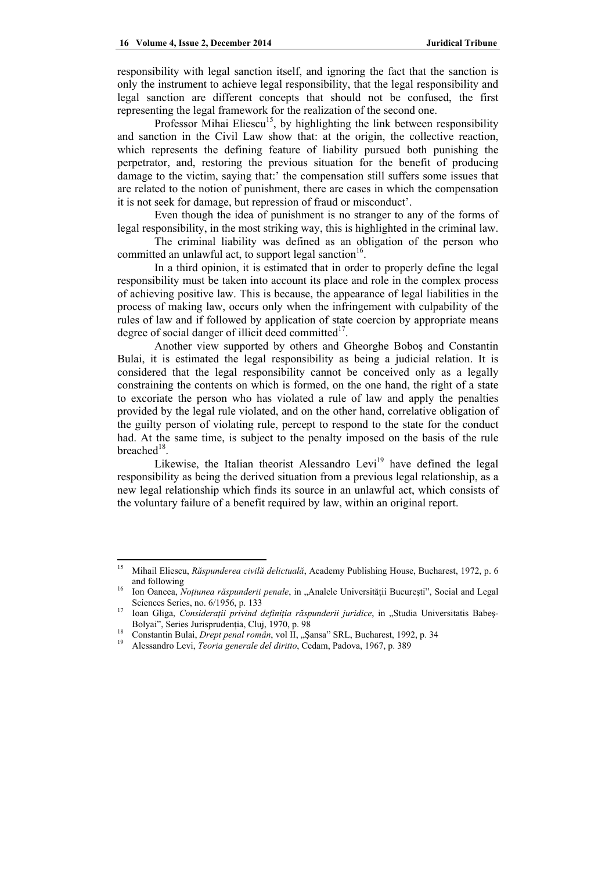responsibility with legal sanction itself, and ignoring the fact that the sanction is only the instrument to achieve legal responsibility, that the legal responsibility and legal sanction are different concepts that should not be confused, the first representing the legal framework for the realization of the second one.

Professor Mihai Eliescu<sup>15</sup>, by highlighting the link between responsibility and sanction in the Civil Law show that: at the origin, the collective reaction, which represents the defining feature of liability pursued both punishing the perpetrator, and, restoring the previous situation for the benefit of producing damage to the victim, saying that:' the compensation still suffers some issues that are related to the notion of punishment, there are cases in which the compensation it is not seek for damage, but repression of fraud or misconduct'.

Even though the idea of punishment is no stranger to any of the forms of legal responsibility, in the most striking way, this is highlighted in the criminal law.

The criminal liability was defined as an obligation of the person who committed an unlawful act, to support legal sanction<sup>16</sup>.

In a third opinion, it is estimated that in order to properly define the legal responsibility must be taken into account its place and role in the complex process of achieving positive law. This is because, the appearance of legal liabilities in the process of making law, occurs only when the infringement with culpability of the rules of law and if followed by application of state coercion by appropriate means degree of social danger of illicit deed committed $17$ .

Another view supported by others and Gheorghe Boboş and Constantin Bulai, it is estimated the legal responsibility as being a judicial relation. It is considered that the legal responsibility cannot be conceived only as a legally constraining the contents on which is formed, on the one hand, the right of a state to excoriate the person who has violated a rule of law and apply the penalties provided by the legal rule violated, and on the other hand, correlative obligation of the guilty person of violating rule, percept to respond to the state for the conduct had. At the same time, is subject to the penalty imposed on the basis of the rule breached $18$ 

Likewise, the Italian theorist Alessandro Levi<sup>19</sup> have defined the legal responsibility as being the derived situation from a previous legal relationship, as a new legal relationship which finds its source in an unlawful act, which consists of the voluntary failure of a benefit required by law, within an original report.

<sup>15</sup> Mihail Eliescu, *Răspunderea civilă delictuală*, Academy Publishing House, Bucharest, 1972, p. 6 and following<br><sup>16</sup> Ion Oancea, *Noțiunea răspunderii penale*, in "Analele Universității București", Social and Legal

Sciences Series, no. 6/1956, p. 133<br><sup>17</sup> Ioan Gliga, *Considerații privind definiția răspunderii juridice*, in "Studia Universitatis Babeș-

Bolyai", Series Jurisprudenția, Cluj, 1970, p. 98<br><sup>18</sup> Constantin Bulai, *Drept penal român*, vol II, "Șansa" SRL, Bucharest, 1992, p. 34<br><sup>19</sup> Alessandro Levi, *Teoria generale del diritto*, Cedam, Padova, 1967, p. 389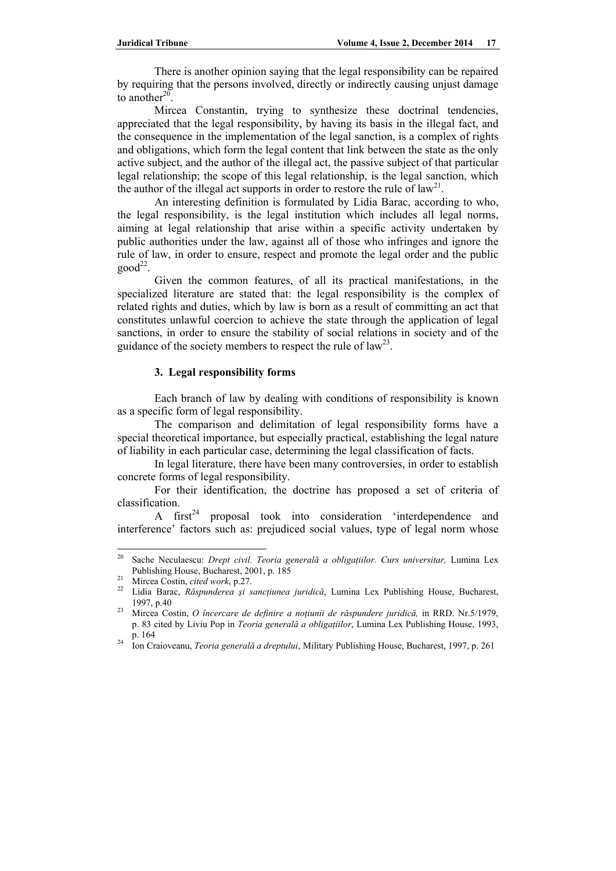There is another opinion saying that the legal responsibility can be repaired by requiring that the persons involved, directly or indirectly causing unjust damage to another $20$ .

Mircea Constantin, trying to synthesize these doctrinal tendencies, appreciated that the legal responsibility, by having its basis in the illegal fact, and the consequence in the implementation of the legal sanction, is a complex of rights and obligations, which form the legal content that link between the state as the only active subject, and the author of the illegal act, the passive subject of that particular legal relationship; the scope of this legal relationship, is the legal sanction, which the author of the illegal act supports in order to restore the rule of  $law^{21}$ .

An interesting definition is formulated by Lidia Barac, according to who, the legal responsibility, is the legal institution which includes all legal norms, aiming at legal relationship that arise within a specific activity undertaken by public authorities under the law, against all of those who infringes and ignore the rule of law, in order to ensure, respect and promote the legal order and the public  $good<sup>22</sup>$ .

Given the common features, of all its practical manifestations, in the specialized literature are stated that: the legal responsibility is the complex of related rights and duties, which by law is born as a result of committing an act that constitutes unlawful coercion to achieve the state through the application of legal sanctions, in order to ensure the stability of social relations in society and of the guidance of the society members to respect the rule of  $law^{23}$ .

# **3. Legal responsibility forms**

Each branch of law by dealing with conditions of responsibility is known as a specific form of legal responsibility.

The comparison and delimitation of legal responsibility forms have a special theoretical importance, but especially practical, establishing the legal nature of liability in each particular case, determining the legal classification of facts.

In legal literature, there have been many controversies, in order to establish concrete forms of legal responsibility.

For their identification, the doctrine has proposed a set of criteria of classification.<br>A first<sup>24</sup>

proposal took into consideration 'interdependence and interference' factors such as: prejudiced social values, type of legal norm whose

<sup>20</sup> Sache Neculaescu: *Drept civil. Teoria generală a obligaţiilor. Curs universitar,* Lumina Lex Publishing House, Bucharest, 2001, p. 185<br>
<sup>21</sup> Mircea Costin, *cited work*, p.27.<br>
<sup>22</sup> Lidia Barac, *Răspunderea și sancțiunea juridică*, Lumina Lex Publishing House, Bucharest,

<sup>1997,</sup> p.40 23 Mircea Costin, *O încercare de definire a noţiunii de răspundere juridică,* in RRD. Nr.5/1979,

p. 83 cited by Liviu Pop in *Teoria generală a obligaţiilor*, Lumina Lex Publishing House, 1993, p. 164 24 Ion Craioveanu, *Teoria generală a dreptului*, Military Publishing House, Bucharest, 1997, p. 261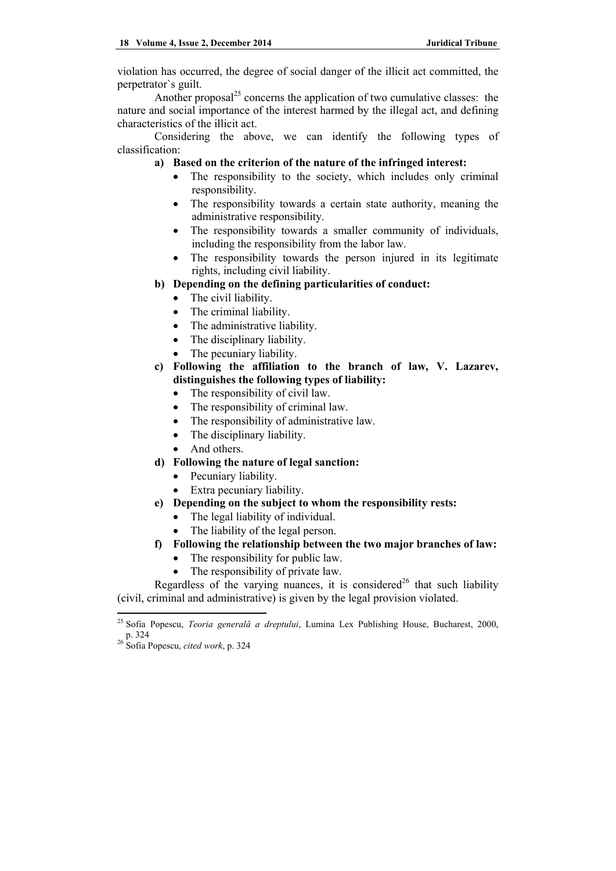violation has occurred, the degree of social danger of the illicit act committed, the perpetrator`s guilt.

Another proposal $^{25}$  concerns the application of two cumulative classes: the nature and social importance of the interest harmed by the illegal act, and defining characteristics of the illicit act.

Considering the above, we can identify the following types of classification:

## **a) Based on the criterion of the nature of the infringed interest:**

- The responsibility to the society, which includes only criminal responsibility.
- The responsibility towards a certain state authority, meaning the administrative responsibility.
- The responsibility towards a smaller community of individuals, including the responsibility from the labor law.
- The responsibility towards the person injured in its legitimate rights, including civil liability.

# **b) Depending on the defining particularities of conduct:**

- The civil liability.
- The criminal liability.
- The administrative liability.
- The disciplinary liability.
- The pecuniary liability.
- **c) Following the affiliation to the branch of law, V. Lazarev, distinguishes the following types of liability:** 
	- The responsibility of civil law.
	- The responsibility of criminal law.
	- The responsibility of administrative law.
	- The disciplinary liability.
	- And others.
- **d) Following the nature of legal sanction:** 
	- Pecuniary liability.
	- Extra pecuniary liability.
- **e) Depending on the subject to whom the responsibility rests:** 
	- The legal liability of individual.
	- The liability of the legal person.

## **f) Following the relationship between the two major branches of law:**

- The responsibility for public law.
- The responsibility of private law.

Regardless of the varying nuances, it is considered<sup>26</sup> that such liability (civil, criminal and administrative) is given by the legal provision violated.

<sup>25</sup> Sofia Popescu, *Teoria generală a dreptului*, Lumina Lex Publishing House, Bucharest, 2000, p. 324 26 Sofia Popescu, *cited work*, p. 324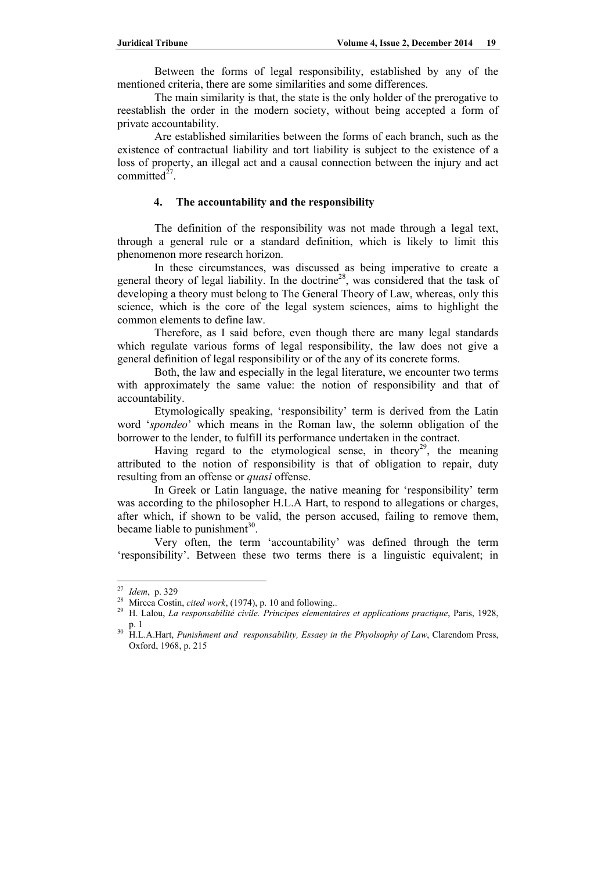Between the forms of legal responsibility, established by any of the mentioned criteria, there are some similarities and some differences.

The main similarity is that, the state is the only holder of the prerogative to reestablish the order in the modern society, without being accepted a form of private accountability.

Are established similarities between the forms of each branch, such as the existence of contractual liability and tort liability is subject to the existence of a loss of property, an illegal act and a causal connection between the injury and act committed $^{27}$ .

## **4. The accountability and the responsibility**

The definition of the responsibility was not made through a legal text, through a general rule or a standard definition, which is likely to limit this phenomenon more research horizon.

In these circumstances, was discussed as being imperative to create a general theory of legal liability. In the doctrine<sup>28</sup>, was considered that the task of developing a theory must belong to The General Theory of Law, whereas, only this science, which is the core of the legal system sciences, aims to highlight the common elements to define law.

Therefore, as I said before, even though there are many legal standards which regulate various forms of legal responsibility, the law does not give a general definition of legal responsibility or of the any of its concrete forms.

Both, the law and especially in the legal literature, we encounter two terms with approximately the same value: the notion of responsibility and that of accountability.

Etymologically speaking, 'responsibility' term is derived from the Latin word '*spondeo*' which means in the Roman law, the solemn obligation of the borrower to the lender, to fulfill its performance undertaken in the contract.

Having regard to the etymological sense, in theory<sup>29</sup>, the meaning attributed to the notion of responsibility is that of obligation to repair, duty resulting from an offense or *quasi* offense.

In Greek or Latin language, the native meaning for 'responsibility' term was according to the philosopher H.L.A Hart, to respond to allegations or charges, after which, if shown to be valid, the person accused, failing to remove them, became liable to punishment<sup>30</sup>.

Very often, the term 'accountability' was defined through the term 'responsibility'. Between these two terms there is a linguistic equivalent; in

<sup>&</sup>lt;sup>27</sup> *Idem*, p. 329<br><sup>28</sup> Mircea Costin, *cited work*, (1974), p. 10 and following..<br><sup>29</sup> H. Lalou, *La responsabilité civile. Principes elementaires et applications practique*, Paris, 1928,<br><sup>29</sup> P. 1

p. 1 30 H.L.A.Hart, *Punishment and responsability, Essaey in the Phyolsophy of Law*, Clarendom Press, Oxford, 1968, p. 215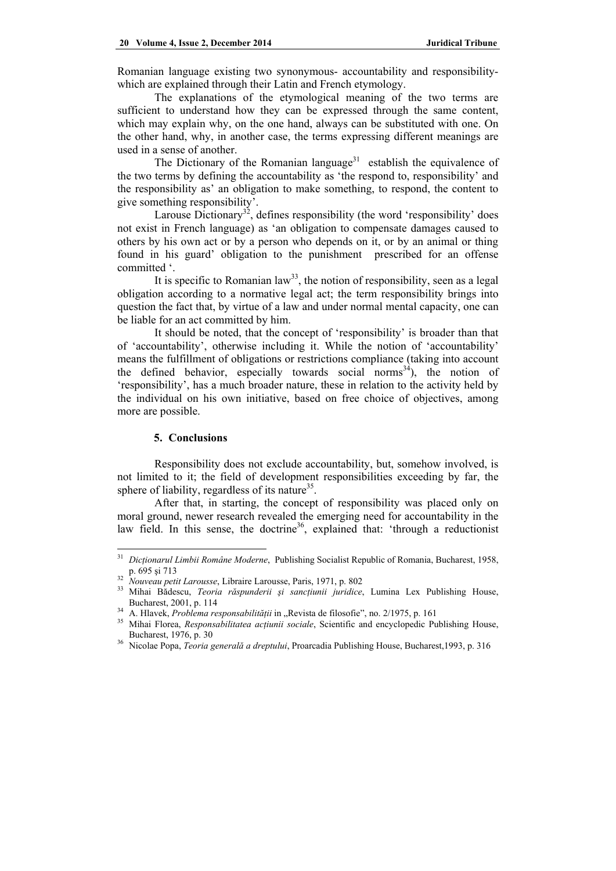Romanian language existing two synonymous- accountability and responsibilitywhich are explained through their Latin and French etymology.

The explanations of the etymological meaning of the two terms are sufficient to understand how they can be expressed through the same content, which may explain why, on the one hand, always can be substituted with one. On the other hand, why, in another case, the terms expressing different meanings are used in a sense of another.

The Dictionary of the Romanian language<sup>31</sup> establish the equivalence of the two terms by defining the accountability as 'the respond to, responsibility' and the responsibility as' an obligation to make something, to respond, the content to give something responsibility'.

Larouse Dictionary<sup>32</sup>, defines responsibility (the word 'responsibility' does not exist in French language) as 'an obligation to compensate damages caused to others by his own act or by a person who depends on it, or by an animal or thing found in his guard' obligation to the punishment prescribed for an offense committed '.

It is specific to Romanian  $law<sup>33</sup>$ , the notion of responsibility, seen as a legal obligation according to a normative legal act; the term responsibility brings into question the fact that, by virtue of a law and under normal mental capacity, one can be liable for an act committed by him.

It should be noted, that the concept of 'responsibility' is broader than that of 'accountability', otherwise including it. While the notion of 'accountability' means the fulfillment of obligations or restrictions compliance (taking into account the defined behavior, especially towards social norms<sup>34</sup>), the notion of 'responsibility', has a much broader nature, these in relation to the activity held by the individual on his own initiative, based on free choice of objectives, among more are possible.

### **5. Conclusions**

Responsibility does not exclude accountability, but, somehow involved, is not limited to it; the field of development responsibilities exceeding by far, the sphere of liability, regardless of its nature<sup>35</sup>.

After that, in starting, the concept of responsibility was placed only on moral ground, newer research revealed the emerging need for accountability in the law field. In this sense, the doctrine<sup>36</sup>, explained that: 'through a reductionist

<sup>31</sup> *Dicţionarul Limbii Române Moderne*, Publishing Socialist Republic of Romania, Bucharest, 1958, p. 695 și 713<br><sup>32</sup> Nouveau petit Larousse, Libraire Larousse, Paris, 1971, p. 802<br><sup>33</sup> Mihai Bădescu, *Teoria răspunderii și sancțiunii juridice*, Lumina Lex Publishing House,

Bucharest, 2001, p. 114<br>
<sup>34</sup> A. Hlavek, *Problema responsabilității* in "Revista de filosofie", no. 2/1975, p. 161<br>
<sup>35</sup> Mihai Florea, *Responsabilitatea acțiunii sociale*, Scientific and encyclopedic Publishing House, Bucharest, 1976, p. 30 36 Nicolae Popa, *Teoria generală a dreptului*, Proarcadia Publishing House, Bucharest,1993, p. 316